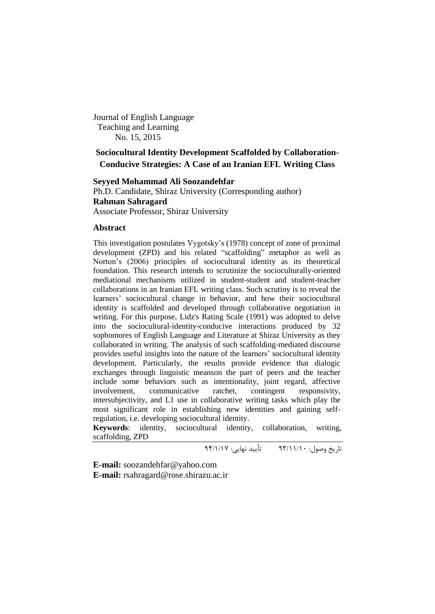Journal of English Language Teaching and Learning No. 15, 2015

# **Sociocultural Identity Development Scaffolded by Collaboration-Conducive Strategies: A Case of an Iranian EFL Writing Class**

**Seyyed Mohammad Ali Soozandehfar** Ph.D. Candidate, Shiraz University (Corresponding author) **Rahman Sahragard** Associate Professor, Shiraz University

# **Abstract**

This investigation postulates Vygotsky's (1978) concept of zone of proximal development (ZPD) and his related "scaffolding" metaphor as well as Norton's (2006) principles of sociocultural identity as its theoretical foundation. This research intends to scrutinize the socioculturally-oriented mediational mechanisms utilized in student-student and student-teacher collaborations in an Iranian EFL writing class. Such scrutiny is to reveal the learners' sociocultural change in behavior, and how their sociocultural identity is scaffolded and developed through collaborative negotiation in writing. For this purpose, Lidz's Rating Scale (1991) was adopted to delve into the sociocultural-identity-conducive interactions produced by 32 sophomores of English Language and Literature at Shiraz University as they collaborated in writing. The analysis of such scaffolding-mediated discourse provides useful insights into the nature of the learners' sociocultural identity development. Particularly, the results provide evidence that dialogic exchanges through linguistic meanson the part of peers and the teacher include some behaviors such as intentionality, joint regard, affective involvement, communicative ratchet, contingent responsivity, intersubjectivity, and L1 use in collaborative writing tasks which play the most significant role in establishing new identities and gaining selfregulation, i.e. developing sociocultural identity.

**Keywords**: identity, sociocultural identity, collaboration, writing, scaffolding, ZPD

تاریخ وصول: 39/00/01 تأیید نهایی: 39/0/01

**E-mail:** soozandehfar@yahoo.com **E-mail:** rsahragard@rose.shirazu.ac.ir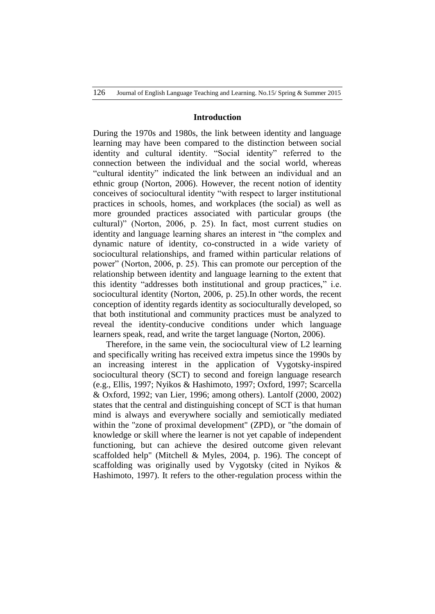# **Introduction**

During the 1970s and 1980s, the link between identity and language learning may have been compared to the distinction between social identity and cultural identity. "Social identity" referred to the connection between the individual and the social world, whereas "cultural identity" indicated the link between an individual and an ethnic group (Norton, 2006). However, the recent notion of identity conceives of sociocultural identity "with respect to larger institutional practices in schools, homes, and workplaces (the social) as well as more grounded practices associated with particular groups (the cultural)" (Norton, 2006, p. 25). In fact, most current studies on identity and language learning shares an interest in "the complex and dynamic nature of identity, co-constructed in a wide variety of sociocultural relationships, and framed within particular relations of power" (Norton, 2006, p. 25). This can promote our perception of the relationship between identity and language learning to the extent that this identity "addresses both institutional and group practices," i.e. sociocultural identity (Norton, 2006, p. 25).In other words, the recent conception of identity regards identity as socioculturally developed, so that both institutional and community practices must be analyzed to reveal the identity-conducive conditions under which language learners speak, read, and write the target language (Norton, 2006).

Therefore, in the same vein, the sociocultural view of L2 learning and specifically writing has received extra impetus since the 1990s by an increasing interest in the application of Vygotsky-inspired sociocultural theory (SCT) to second and foreign language research (e.g., Ellis, 1997; Nyikos & Hashimoto, 1997; Oxford, 1997; Scarcella & Oxford, 1992; van Lier, 1996; among others). Lantolf (2000, 2002) states that the central and distinguishing concept of SCT is that human mind is always and everywhere socially and semiotically mediated within the "zone of proximal development" (ZPD), or "the domain of knowledge or skill where the learner is not yet capable of independent functioning, but can achieve the desired outcome given relevant scaffolded help" (Mitchell & Myles, 2004, p. 196). The concept of scaffolding was originally used by Vygotsky (cited in Nyikos & Hashimoto, 1997). It refers to the other-regulation process within the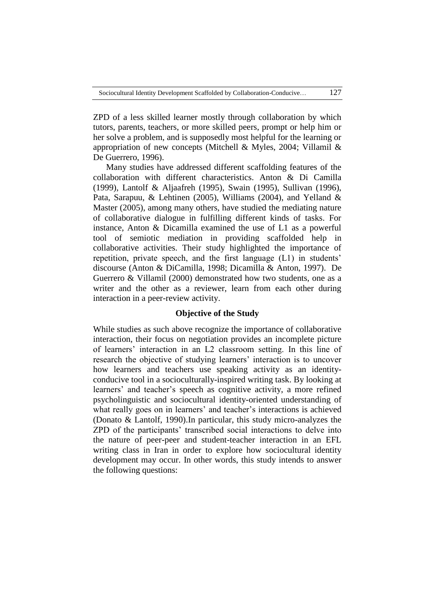ZPD of a less skilled learner mostly through collaboration by which tutors, parents, teachers, or more skilled peers, prompt or help him or her solve a problem, and is supposedly most helpful for the learning or appropriation of new concepts (Mitchell & Myles, 2004; Villamil & De Guerrero, 1996).

Many studies have addressed different scaffolding features of the collaboration with different characteristics. Anton & Di Camilla (1999), Lantolf & Aljaafreh (1995), Swain (1995), Sullivan (1996), Pata, Sarapuu, & Lehtinen (2005), Williams (2004), and Yelland & Master (2005), among many others, have studied the mediating nature of collaborative dialogue in fulfilling different kinds of tasks. For instance, Anton & Dicamilla examined the use of L1 as a powerful tool of semiotic mediation in providing scaffolded help in collaborative activities. Their study highlighted the importance of repetition, private speech, and the first language (L1) in students' discourse (Anton & DiCamilla, 1998; Dicamilla & Anton, 1997). De Guerrero & Villamil (2000) demonstrated how two students, one as a writer and the other as a reviewer, learn from each other during interaction in a peer-review activity.

# **Objective of the Study**

While studies as such above recognize the importance of collaborative interaction, their focus on negotiation provides an incomplete picture of learners' interaction in an L2 classroom setting. In this line of research the objective of studying learners' interaction is to uncover how learners and teachers use speaking activity as an identityconducive tool in a socioculturally-inspired writing task. By looking at learners' and teacher's speech as cognitive activity, a more refined psycholinguistic and sociocultural identity-oriented understanding of what really goes on in learners' and teacher's interactions is achieved (Donato & Lantolf, 1990).In particular, this study micro-analyzes the ZPD of the participants' transcribed social interactions to delve into the nature of peer-peer and student-teacher interaction in an EFL writing class in Iran in order to explore how sociocultural identity development may occur. In other words, this study intends to answer the following questions: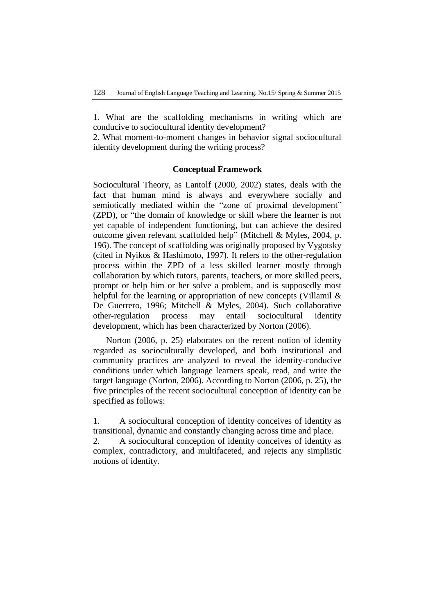1. What are the scaffolding mechanisms in writing which are conducive to sociocultural identity development?

2. What moment-to-moment changes in behavior signal sociocultural identity development during the writing process?

### **Conceptual Framework**

Sociocultural Theory, as Lantolf (2000, 2002) states, deals with the fact that human mind is always and everywhere socially and semiotically mediated within the "zone of proximal development" (ZPD), or "the domain of knowledge or skill where the learner is not yet capable of independent functioning, but can achieve the desired outcome given relevant scaffolded help" (Mitchell & Myles, 2004, p. 196). The concept of scaffolding was originally proposed by Vygotsky (cited in Nyikos & Hashimoto, 1997). It refers to the other-regulation process within the ZPD of a less skilled learner mostly through collaboration by which tutors, parents, teachers, or more skilled peers, prompt or help him or her solve a problem, and is supposedly most helpful for the learning or appropriation of new concepts (Villamil & De Guerrero, 1996; Mitchell & Myles, 2004). Such collaborative other-regulation process may entail sociocultural identity development, which has been characterized by Norton (2006).

Norton (2006, p. 25) elaborates on the recent notion of identity regarded as socioculturally developed, and both institutional and community practices are analyzed to reveal the identity-conducive conditions under which language learners speak, read, and write the target language (Norton, 2006). According to Norton (2006, p. 25), the five principles of the recent sociocultural conception of identity can be specified as follows:

1. A sociocultural conception of identity conceives of identity as transitional, dynamic and constantly changing across time and place.

2. A sociocultural conception of identity conceives of identity as complex, contradictory, and multifaceted, and rejects any simplistic notions of identity.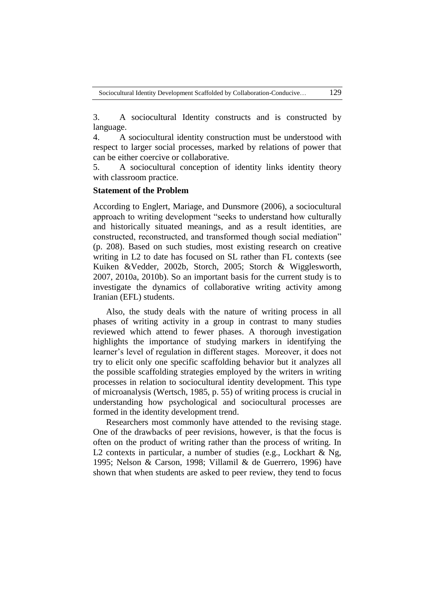3. A sociocultural Identity constructs and is constructed by language.

4. A sociocultural identity construction must be understood with respect to larger social processes, marked by relations of power that can be either coercive or collaborative.

5. A sociocultural conception of identity links identity theory with classroom practice.

# **Statement of the Problem**

According to Englert, Mariage, and Dunsmore (2006), a sociocultural approach to writing development "seeks to understand how culturally and historically situated meanings, and as a result identities, are constructed, reconstructed, and transformed though social mediation" (p. 208). Based on such studies, most existing research on creative writing in L2 to date has focused on SL rather than FL contexts (see Kuiken &Vedder, 2002b, Storch, 2005; Storch & Wigglesworth, 2007, 2010a, 2010b). So an important basis for the current study is to investigate the dynamics of collaborative writing activity among Iranian (EFL) students.

Also, the study deals with the nature of writing process in all phases of writing activity in a group in contrast to many studies reviewed which attend to fewer phases. A thorough investigation highlights the importance of studying markers in identifying the learner's level of regulation in different stages. Moreover, it does not try to elicit only one specific scaffolding behavior but it analyzes all the possible scaffolding strategies employed by the writers in writing processes in relation to sociocultural identity development. This type of microanalysis (Wertsch, 1985, p. 55) of writing process is crucial in understanding how psychological and sociocultural processes are formed in the identity development trend.

Researchers most commonly have attended to the revising stage. One of the drawbacks of peer revisions, however, is that the focus is often on the product of writing rather than the process of writing. In L2 contexts in particular, a number of studies (e.g., Lockhart & Ng, 1995; Nelson & Carson, 1998; Villamil & de Guerrero, 1996) have shown that when students are asked to peer review, they tend to focus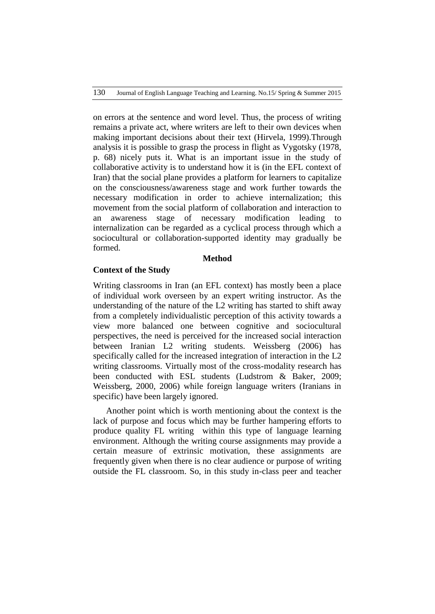on errors at the sentence and word level. Thus, the process of writing remains a private act, where writers are left to their own devices when making important decisions about their text (Hirvela, 1999).Through analysis it is possible to grasp the process in flight as Vygotsky (1978, p. 68) nicely puts it. What is an important issue in the study of collaborative activity is to understand how it is (in the EFL context of Iran) that the social plane provides a platform for learners to capitalize on the consciousness/awareness stage and work further towards the necessary modification in order to achieve internalization; this movement from the social platform of collaboration and interaction to an awareness stage of necessary modification leading to internalization can be regarded as a cyclical process through which a sociocultural or collaboration-supported identity may gradually be formed.

# **Method**

# **Context of the Study**

Writing classrooms in Iran (an EFL context) has mostly been a place of individual work overseen by an expert writing instructor. As the understanding of the nature of the L2 writing has started to shift away from a completely individualistic perception of this activity towards a view more balanced one between cognitive and sociocultural perspectives, the need is perceived for the increased social interaction between Iranian L2 writing students. Weissberg (2006) has specifically called for the increased integration of interaction in the L2 writing classrooms. Virtually most of the cross-modality research has been conducted with ESL students (Ludstrom & Baker, 2009; Weissberg, 2000, 2006) while foreign language writers (Iranians in specific) have been largely ignored.

Another point which is worth mentioning about the context is the lack of purpose and focus which may be further hampering efforts to produce quality FL writing within this type of language learning environment. Although the writing course assignments may provide a certain measure of extrinsic motivation, these assignments are frequently given when there is no clear audience or purpose of writing outside the FL classroom. So, in this study in-class peer and teacher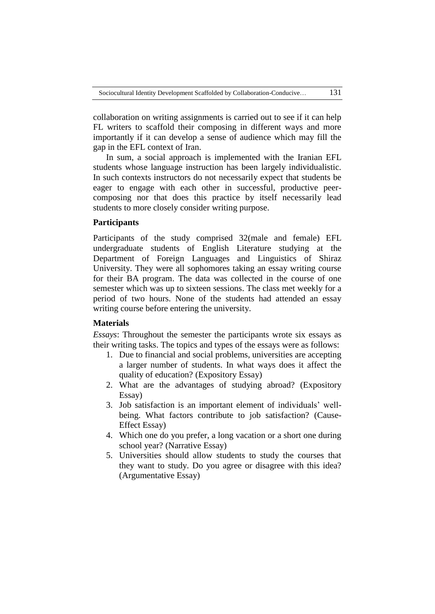collaboration on writing assignments is carried out to see if it can help FL writers to scaffold their composing in different ways and more importantly if it can develop a sense of audience which may fill the gap in the EFL context of Iran.

In sum, a social approach is implemented with the Iranian EFL students whose language instruction has been largely individualistic. In such contexts instructors do not necessarily expect that students be eager to engage with each other in successful, productive peercomposing nor that does this practice by itself necessarily lead students to more closely consider writing purpose.

# **Participants**

Participants of the study comprised 32(male and female) EFL undergraduate students of English Literature studying at the Department of Foreign Languages and Linguistics of Shiraz University. They were all sophomores taking an essay writing course for their BA program. The data was collected in the course of one semester which was up to sixteen sessions. The class met weekly for a period of two hours. None of the students had attended an essay writing course before entering the university.

# **Materials**

*Essays*: Throughout the semester the participants wrote six essays as their writing tasks. The topics and types of the essays were as follows:

- 1. Due to financial and social problems, universities are accepting a larger number of students. In what ways does it affect the quality of education? (Expository Essay)
- 2. What are the advantages of studying abroad? (Expository Essay)
- 3. Job satisfaction is an important element of individuals' wellbeing. What factors contribute to job satisfaction? (Cause-Effect Essay)
- 4. Which one do you prefer, a long vacation or a short one during school year? (Narrative Essay)
- 5. Universities should allow students to study the courses that they want to study. Do you agree or disagree with this idea? (Argumentative Essay)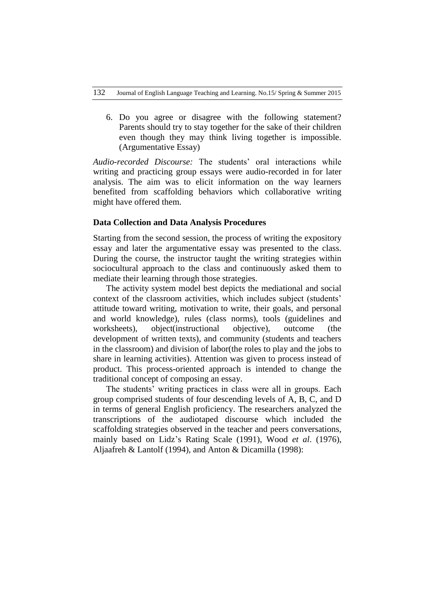6. Do you agree or disagree with the following statement? Parents should try to stay together for the sake of their children even though they may think living together is impossible. (Argumentative Essay)

*Audio-recorded Discourse:* The students' oral interactions while writing and practicing group essays were audio-recorded in for later analysis. The aim was to elicit information on the way learners benefited from scaffolding behaviors which collaborative writing might have offered them.

# **Data Collection and Data Analysis Procedures**

Starting from the second session, the process of writing the expository essay and later the argumentative essay was presented to the class. During the course, the instructor taught the writing strategies within sociocultural approach to the class and continuously asked them to mediate their learning through those strategies.

The activity system model best depicts the mediational and social context of the classroom activities, which includes subject (students' attitude toward writing, motivation to write, their goals, and personal and world knowledge), rules (class norms), tools (guidelines and worksheets), object(instructional objective), outcome (the development of written texts), and community (students and teachers in the classroom) and division of labor(the roles to play and the jobs to share in learning activities). Attention was given to process instead of product. This process-oriented approach is intended to change the traditional concept of composing an essay.

The students' writing practices in class were all in groups. Each group comprised students of four descending levels of A, B, C, and D in terms of general English proficiency. The researchers analyzed the transcriptions of the audiotaped discourse which included the scaffolding strategies observed in the teacher and peers conversations, mainly based on Lidz's Rating Scale (1991), Wood *et al*. (1976), Aljaafreh & Lantolf (1994), and Anton & Dicamilla (1998):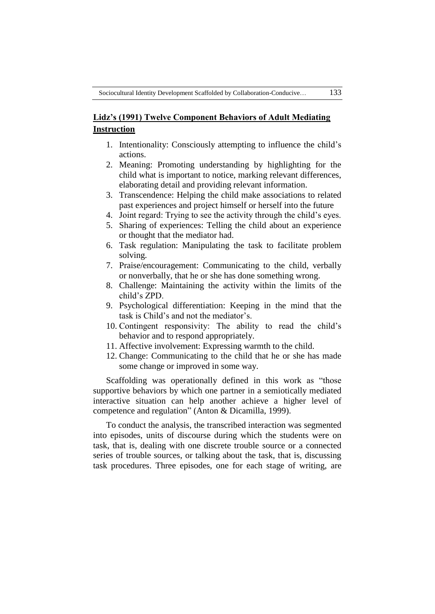# **Lidz's (1991) Twelve Component Behaviors of Adult Mediating Instruction**

- 1. Intentionality: Consciously attempting to influence the child's actions.
- 2. Meaning: Promoting understanding by highlighting for the child what is important to notice, marking relevant differences, elaborating detail and providing relevant information.
- 3. Transcendence: Helping the child make associations to related past experiences and project himself or herself into the future
- 4. Joint regard: Trying to see the activity through the child's eyes.
- 5. Sharing of experiences: Telling the child about an experience or thought that the mediator had.
- 6. Task regulation: Manipulating the task to facilitate problem solving.
- 7. Praise/encouragement: Communicating to the child, verbally or nonverbally, that he or she has done something wrong.
- 8. Challenge: Maintaining the activity within the limits of the child's ZPD.
- 9. Psychological differentiation: Keeping in the mind that the task is Child's and not the mediator's.
- 10. Contingent responsivity: The ability to read the child's behavior and to respond appropriately.
- 11. Affective involvement: Expressing warmth to the child.
- 12. Change: Communicating to the child that he or she has made some change or improved in some way.

Scaffolding was operationally defined in this work as "those" supportive behaviors by which one partner in a semiotically mediated interactive situation can help another achieve a higher level of competence and regulation" (Anton & Dicamilla, 1999).

To conduct the analysis, the transcribed interaction was segmented into episodes, units of discourse during which the students were on task, that is, dealing with one discrete trouble source or a connected series of trouble sources, or talking about the task, that is, discussing task procedures. Three episodes, one for each stage of writing, are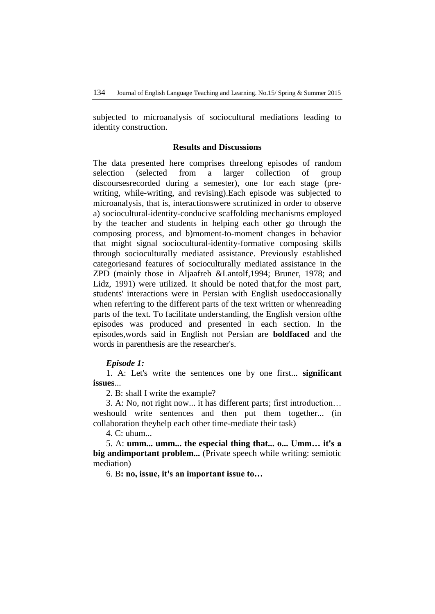subjected to microanalysis of sociocultural mediations leading to identity construction.

#### **Results and Discussions**

The data presented here comprises threelong episodes of random selection (selected from a larger collection of group discoursesrecorded during a semester), one for each stage (prewriting, while-writing, and revising).Each episode was subjected to microanalysis, that is, interactionswere scrutinized in order to observe a) sociocultural-identity-conducive scaffolding mechanisms employed by the teacher and students in helping each other go through the composing process, and b)moment-to-moment changes in behavior that might signal sociocultural-identity-formative composing skills through socioculturally mediated assistance. Previously established categoriesand features of socioculturally mediated assistance in the ZPD (mainly those in Aljaafreh &Lantolf,1994; Bruner, 1978; and Lidz, 1991) were utilized. It should be noted that,for the most part, students' interactions were in Persian with English usedoccasionally when referring to the different parts of the text written or whenreading parts of the text. To facilitate understanding, the English version ofthe episodes was produced and presented in each section. In the episodes,words said in English not Persian are **boldfaced** and the words in parenthesis are the researcher's.

# *Episode 1:*

1. A: Let's write the sentences one by one first... **significant issues**...

2. B: shall I write the example?

3. A: No, not right now... it has different parts; first introduction… weshould write sentences and then put them together... (in collaboration theyhelp each other time-mediate their task)

4. C: uhum...

5. A: **umm... umm... the especial thing that... o... Umm… it's a big andimportant problem...** (Private speech while writing: semiotic mediation)

6. B**: no, issue, it's an important issue to…**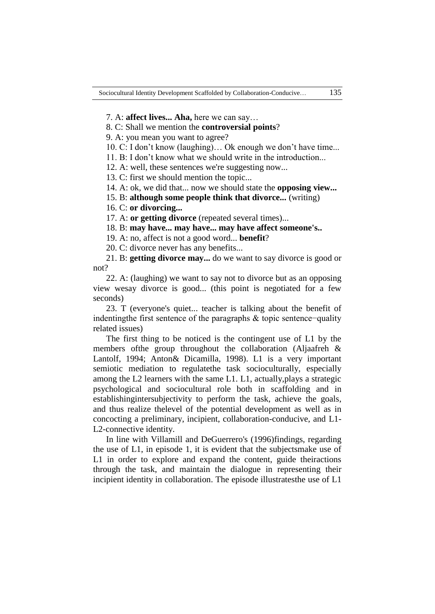7. A: **affect lives... Aha,** here we can say…

8. C: Shall we mention the **controversial points**?

9. A: you mean you want to agree?

10. C: I don't know (laughing)… Ok enough we don't have time...

11. B: I don't know what we should write in the introduction...

12. A: well, these sentences we're suggesting now...

13. C: first we should mention the topic...

14. A: ok, we did that... now we should state the **opposing view...**

15. B: **although some people think that divorce...** (writing)

16. C: **or divorcing...**

17. A: **or getting divorce** (repeated several times)...

18. B: **may have... may have... may have affect someone's..**

19. A: no, affect is not a good word... **benefit**?

20. C: divorce never has any benefits...

21. B: **getting divorce may...** do we want to say divorce is good or not?

22. A: (laughing) we want to say not to divorce but as an opposing view wesay divorce is good... (this point is negotiated for a few seconds)

23. T (everyone's quiet... teacher is talking about the benefit of indentingthe first sentence of the paragraphs & topic sentence−quality related issues)

The first thing to be noticed is the contingent use of L1 by the members ofthe group throughout the collaboration (Aljaafreh & Lantolf, 1994; Anton& Dicamilla, 1998). L1 is a very important semiotic mediation to regulatethe task socioculturally, especially among the L2 learners with the same L1. L1, actually,plays a strategic psychological and sociocultural role both in scaffolding and in establishingintersubjectivity to perform the task, achieve the goals, and thus realize thelevel of the potential development as well as in concocting a preliminary, incipient, collaboration-conducive, and L1- L2-connective identity.

In line with Villamill and DeGuerrero's (1996)findings, regarding the use of L1, in episode 1, it is evident that the subjectsmake use of L1 in order to explore and expand the content, guide theiractions through the task, and maintain the dialogue in representing their incipient identity in collaboration. The episode illustratesthe use of L1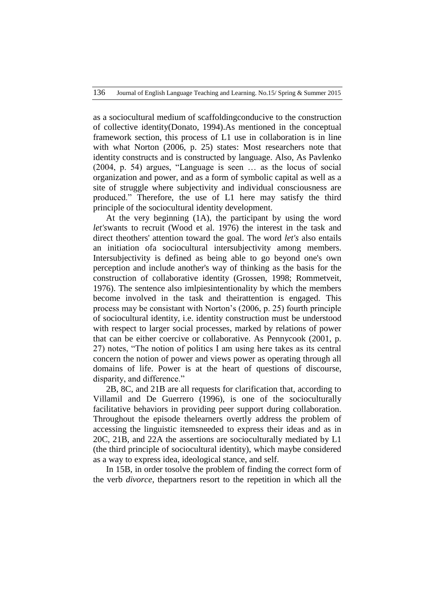as a sociocultural medium of scaffoldingconducive to the construction of collective identity(Donato, 1994).As mentioned in the conceptual framework section, this process of L1 use in collaboration is in line with what Norton (2006, p. 25) states: Most researchers note that identity constructs and is constructed by language. Also, As Pavlenko  $(2004, p. 54)$  argues, "Language is seen  $\ldots$  as the locus of social organization and power, and as a form of symbolic capital as well as a site of struggle where subjectivity and individual consciousness are produced.‖ Therefore, the use of L1 here may satisfy the third principle of the sociocultural identity development.

At the very beginning (1A), the participant by using the word *let's*wants to recruit (Wood et al. 1976) the interest in the task and direct theothers' attention toward the goal. The word *let's* also entails an initiation ofa sociocultural intersubjectivity among members. Intersubjectivity is defined as being able to go beyond one's own perception and include another's way of thinking as the basis for the construction of collaborative identity (Grossen, 1998; Rommetveit, 1976). The sentence also imlpiesintentionality by which the members become involved in the task and theirattention is engaged. This process may be consistant with Norton's (2006, p. 25) fourth principle of sociocultural identity, i.e. identity construction must be understood with respect to larger social processes, marked by relations of power that can be either coercive or collaborative. As Pennycook (2001, p. 27) notes, "The notion of politics I am using here takes as its central concern the notion of power and views power as operating through all domains of life. Power is at the heart of questions of discourse, disparity, and difference."

2B, 8C, and 21B are all requests for clarification that, according to Villamil and De Guerrero (1996), is one of the socioculturally facilitative behaviors in providing peer support during collaboration. Throughout the episode thelearners overtly address the problem of accessing the linguistic itemsneeded to express their ideas and as in 20C, 21B, and 22A the assertions are socioculturally mediated by L1 (the third principle of sociocultural identity), which maybe considered as a way to express idea, ideological stance, and self.

In 15B, in order tosolve the problem of finding the correct form of the verb *divorce*, thepartners resort to the repetition in which all the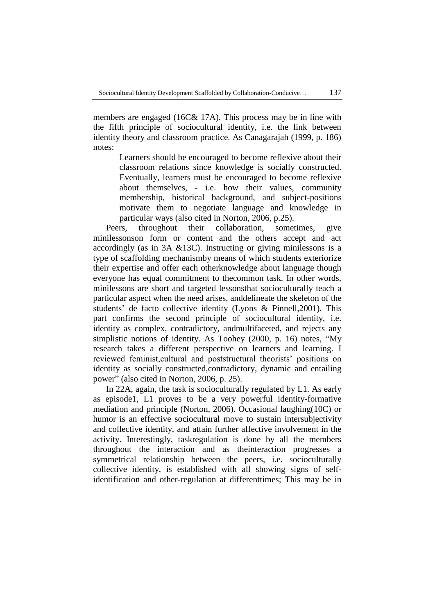members are engaged (16C& 17A). This process may be in line with the fifth principle of sociocultural identity, i.e. the link between identity theory and classroom practice. As Canagarajah (1999, p. 186) notes:

Learners should be encouraged to become reflexive about their classroom relations since knowledge is socially constructed. Eventually, learners must be encouraged to become reflexive about themselves, - i.e. how their values, community membership, historical background, and subject-positions motivate them to negotiate language and knowledge in particular ways (also cited in Norton, 2006, p.25).

Peers, throughout their collaboration, sometimes, give minilessonson form or content and the others accept and act accordingly (as in 3A &13C). Instructing or giving minilessons is a type of scaffolding mechanismby means of which students exteriorize their expertise and offer each otherknowledge about language though everyone has equal commitment to thecommon task. In other words, minilessons are short and targeted lessonsthat socioculturally teach a particular aspect when the need arises, anddelineate the skeleton of the students' de facto collective identity (Lyons & Pinnell,2001). This part confirms the second principle of sociocultural identity, i.e. identity as complex, contradictory, andmultifaceted, and rejects any simplistic notions of identity. As Toohey (2000, p. 16) notes, "My research takes a different perspective on learners and learning. I reviewed feminist,cultural and poststructural theorists' positions on identity as socially constructed,contradictory, dynamic and entailing power" (also cited in Norton, 2006, p. 25).

In 22A, again, the task is socioculturally regulated by L1. As early as episode1, L1 proves to be a very powerful identity-formative mediation and principle (Norton, 2006). Occasional laughing(10C) or humor is an effective sociocultural move to sustain intersubjectivity and collective identity, and attain further affective involvement in the activity. Interestingly, taskregulation is done by all the members throughout the interaction and as theinteraction progresses a symmetrical relationship between the peers, i.e. socioculturally collective identity, is established with all showing signs of selfidentification and other-regulation at differenttimes; This may be in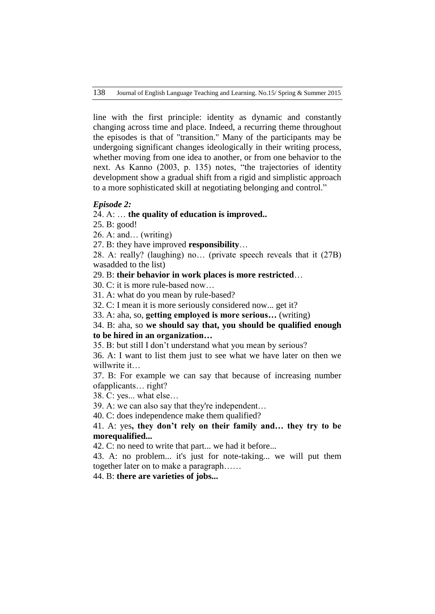line with the first principle: identity as dynamic and constantly changing across time and place. Indeed, a recurring theme throughout the episodes is that of "transition." Many of the participants may be undergoing significant changes ideologically in their writing process, whether moving from one idea to another, or from one behavior to the next. As Kanno (2003, p. 135) notes, "the trajectories of identity development show a gradual shift from a rigid and simplistic approach to a more sophisticated skill at negotiating belonging and control."

### *Episode 2:*

# 24. A: … **the quality of education is improved..**

25. B: good!

26. A: and… (writing)

27. B: they have improved **responsibility**…

28. A: really? (laughing) no… (private speech reveals that it (27B) wasadded to the list)

29. B: **their behavior in work places is more restricted**…

30. C: it is more rule-based now…

31. A: what do you mean by rule-based?

32. C: I mean it is more seriously considered now... get it?

33. A: aha, so, **getting employed is more serious…** (writing)

# 34. B: aha, so **we should say that, you should be qualified enough to be hired in an organization…**

35. B: but still I don't understand what you mean by serious?

36. A: I want to list them just to see what we have later on then we willwrite it…

37. B: For example we can say that because of increasing number ofapplicants… right?

38. C: yes... what else…

39. A: we can also say that they're independent…

40. C: does independence make them qualified?

# 41. A: yes**, they don't rely on their family and… they try to be morequalified...**

42. C: no need to write that part... we had it before...

43. A: no problem... it's just for note-taking... we will put them together later on to make a paragraph……

44. B: **there are varieties of jobs...**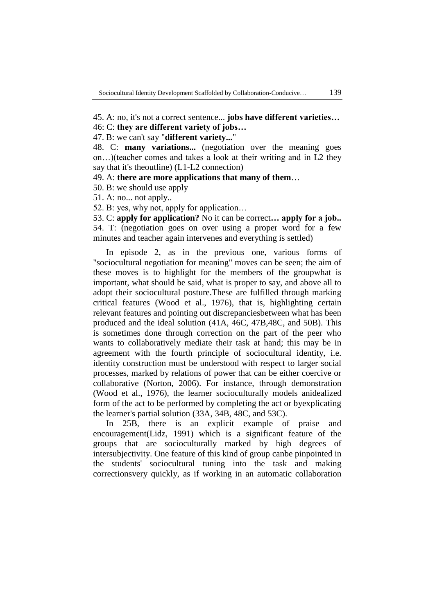45. A: no, it's not a correct sentence... **jobs have different varieties…**

46: C: **they are different variety of jobs…**

47. B: we can't say "**different variety...**"

48. C: **many variations...** (negotiation over the meaning goes on…)(teacher comes and takes a look at their writing and in L2 they say that it's theoutline) (L1-L2 connection)

49. A: **there are more applications that many of them**…

50. B: we should use apply

51. A: no... not apply..

52. B: yes, why not, apply for application…

53. C: **apply for application?** No it can be correct**… apply for a job..** 54. T: (negotiation goes on over using a proper word for a few minutes and teacher again intervenes and everything is settled)

In episode 2, as in the previous one, various forms of "sociocultural negotiation for meaning" moves can be seen; the aim of these moves is to highlight for the members of the groupwhat is important, what should be said, what is proper to say, and above all to adopt their sociocultural posture.These are fulfilled through marking critical features (Wood et al., 1976), that is, highlighting certain relevant features and pointing out discrepanciesbetween what has been produced and the ideal solution (41A, 46C, 47B,48C, and 50B). This is sometimes done through correction on the part of the peer who wants to collaboratively mediate their task at hand; this may be in agreement with the fourth principle of sociocultural identity, i.e. identity construction must be understood with respect to larger social processes, marked by relations of power that can be either coercive or collaborative (Norton, 2006). For instance, through demonstration (Wood et al., 1976), the learner socioculturally models anidealized form of the act to be performed by completing the act or byexplicating the learner's partial solution (33A, 34B, 48C, and 53C).

In 25B, there is an explicit example of praise and encouragement(Lidz, 1991) which is a significant feature of the groups that are socioculturally marked by high degrees of intersubjectivity. One feature of this kind of group canbe pinpointed in the students' sociocultural tuning into the task and making correctionsvery quickly, as if working in an automatic collaboration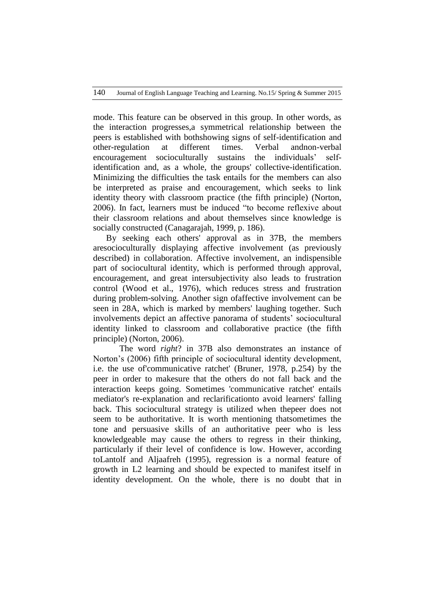mode. This feature can be observed in this group. In other words, as the interaction progresses,a symmetrical relationship between the peers is established with bothshowing signs of self-identification and other-regulation at different times. Verbal andnon-verbal encouragement socioculturally sustains the individuals' selfidentification and, as a whole, the groups' collective-identification. Minimizing the difficulties the task entails for the members can also be interpreted as praise and encouragement, which seeks to link identity theory with classroom practice (the fifth principle) (Norton, 2006). In fact, learners must be induced "to become reflexive about their classroom relations and about themselves since knowledge is socially constructed (Canagarajah, 1999, p. 186).

By seeking each others' approval as in 37B, the members aresocioculturally displaying affective involvement (as previously described) in collaboration. Affective involvement, an indispensible part of sociocultural identity, which is performed through approval, encouragement, and great intersubjectivity also leads to frustration control (Wood et al., 1976), which reduces stress and frustration during problem-solving. Another sign ofaffective involvement can be seen in 28A, which is marked by members' laughing together. Such involvements depict an affective panorama of students' sociocultural identity linked to classroom and collaborative practice (the fifth principle) (Norton, 2006).

The word *right*? in 37B also demonstrates an instance of Norton's (2006) fifth principle of sociocultural identity development, i.e. the use of'communicative ratchet' (Bruner, 1978, p.254) by the peer in order to makesure that the others do not fall back and the interaction keeps going. Sometimes 'communicative ratchet' entails mediator's re-explanation and reclarificationto avoid learners' falling back. This sociocultural strategy is utilized when thepeer does not seem to be authoritative. It is worth mentioning thatsometimes the tone and persuasive skills of an authoritative peer who is less knowledgeable may cause the others to regress in their thinking, particularly if their level of confidence is low. However, according toLantolf and Aljaafreh (1995), regression is a normal feature of growth in L2 learning and should be expected to manifest itself in identity development. On the whole, there is no doubt that in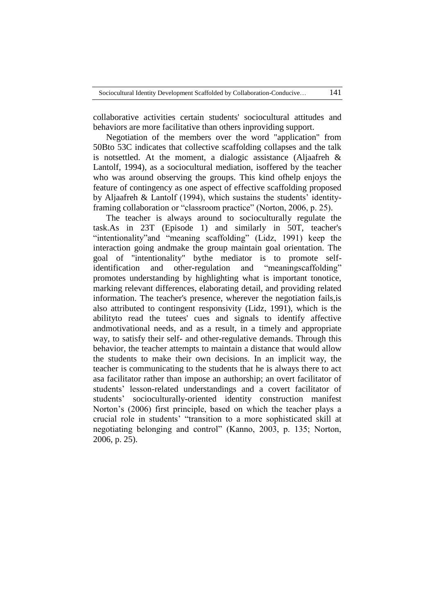collaborative activities certain students' sociocultural attitudes and behaviors are more facilitative than others inproviding support.

Negotiation of the members over the word "application" from 50Bto 53C indicates that collective scaffolding collapses and the talk is notsettled. At the moment, a dialogic assistance (Aljaafreh & Lantolf, 1994), as a sociocultural mediation, isoffered by the teacher who was around observing the groups. This kind ofhelp enjoys the feature of contingency as one aspect of effective scaffolding proposed by Aljaafreh & Lantolf (1994), which sustains the students' identityframing collaboration or "classroom practice" (Norton, 2006, p. 25).

The teacher is always around to socioculturally regulate the task.As in 23T (Episode 1) and similarly in 50T, teacher's ―intentionality‖and ―meaning scaffolding‖ (Lidz, 1991) keep the interaction going andmake the group maintain goal orientation. The goal of "intentionality" bythe mediator is to promote selfidentification and other-regulation and "meaningscaffolding" promotes understanding by highlighting what is important tonotice, marking relevant differences, elaborating detail, and providing related information. The teacher's presence, wherever the negotiation fails,is also attributed to contingent responsivity (Lidz, 1991), which is the abilityto read the tutees' cues and signals to identify affective andmotivational needs, and as a result, in a timely and appropriate way, to satisfy their self- and other-regulative demands. Through this behavior, the teacher attempts to maintain a distance that would allow the students to make their own decisions. In an implicit way, the teacher is communicating to the students that he is always there to act asa facilitator rather than impose an authorship; an overt facilitator of students' lesson-related understandings and a covert facilitator of students' socioculturally-oriented identity construction manifest Norton's (2006) first principle, based on which the teacher plays a crucial role in students' "transition to a more sophisticated skill at negotiating belonging and control" (Kanno, 2003, p. 135; Norton, 2006, p. 25).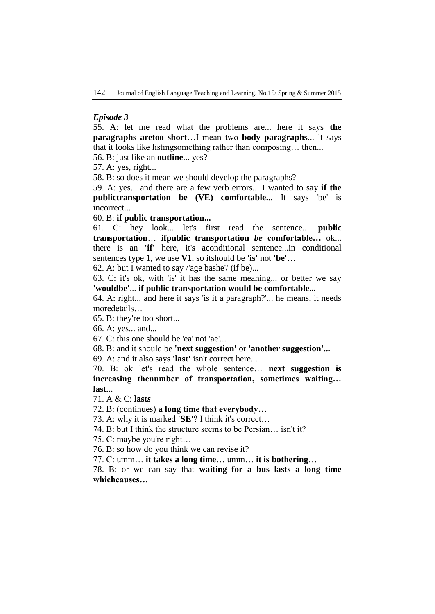# *Episode 3*

55. A: let me read what the problems are... here it says **the paragraphs aretoo short**…I mean two **body paragraphs**... it says that it looks like listingsomething rather than composing… then...

56. B: just like an **outline**... yes?

57. A: yes, right...

58. B: so does it mean we should develop the paragraphs?

59. A: yes... and there are a few verb errors... I wanted to say **if the publictransportation be (VE) comfortable...** It says 'be' is incorrect...

60. B: **if public transportation...**

61. C: hey look... let's first read the sentence... **public transportation**… **ifpublic transportation** *be* **comfortable…** ok... there is an **'if'** here, it's aconditional sentence...in conditional sentences type 1, we use **V1**, so itshould be **'is'** not **'be'**…

62. A: but I wanted to say /'age bashe'/ (if be)...

63. C: it's ok, with 'is' it has the same meaning... or better we say **'wouldbe'**... **if public transportation would be comfortable...**

64. A: right... and here it says 'is it a paragraph?'... he means, it needs moredetails…

65. B: they're too short...

66. A: yes... and...

67. C: this one should be 'ea' not 'ae'...

68. B: and it should be **'next suggestion'** or **'another suggestion'...**

69. A: and it also says **'last'** isn't correct here...

70. B: ok let's read the whole sentence… **next suggestion is increasing thenumber of transportation, sometimes waiting… last...**

71. A & C: **last***s*

72. B: (continues) **a long time that everybody…**

73. A: why it is marked **'SE'**? I think it's correct…

74. B: but I think the structure seems to be Persian… isn't it?

75. C: maybe you're right…

76. B: so how do you think we can revise it?

77. C: umm… **it takes a long time**… umm… **it is bothering**…

78. B: or we can say that **waiting for a bus lasts a long time whichcauses…**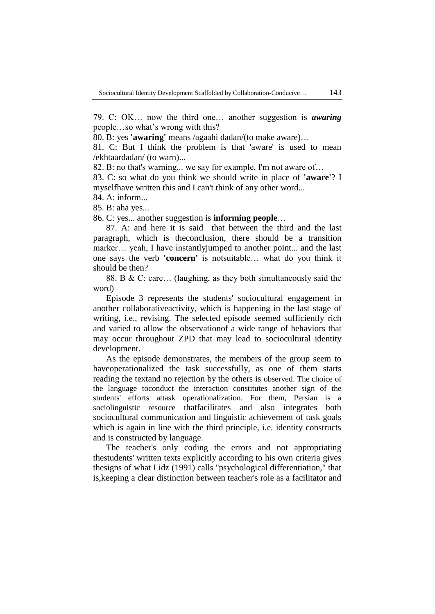79. C: OK… now the third one… another suggestion is *awaring*  people…so what's wrong with this?

80. B: yes **'awaring'** means /agaahi dadan/(to make aware)…

81. C: But I think the problem is that 'aware' is used to mean /ekhtaardadan/ (to warn)...

82. B: no that's warning... we say for example, I'm not aware of…

83. C: so what do you think we should write in place of **'aware'**? I myselfhave written this and I can't think of any other word...

84. A: inform...

85. B: aha yes...

86. C: yes... another suggestion is **informing people**…

87. A: and here it is said that between the third and the last paragraph, which is theconclusion, there should be a transition marker… yeah, I have instantlyjumped to another point... and the last one says the verb **'concern'** is notsuitable… what do you think it should be then?

88. B & C: care… (laughing, as they both simultaneously said the word)

Episode 3 represents the students' sociocultural engagement in another collaborativeactivity, which is happening in the last stage of writing, i.e., revising. The selected episode seemed sufficiently rich and varied to allow the observationof a wide range of behaviors that may occur throughout ZPD that may lead to sociocultural identity development.

As the episode demonstrates, the members of the group seem to haveoperationalized the task successfully, as one of them starts reading the textand no rejection by the others is observed. The choice of the language toconduct the interaction constitutes another sign of the students' efforts attask operationalization. For them, Persian is a sociolinguistic resource thatfacilitates and also integrates both sociocultural communication and linguistic achievement of task goals which is again in line with the third principle, i.e. identity constructs and is constructed by language.

The teacher's only coding the errors and not appropriating thestudents' written texts explicitly according to his own criteria gives thesigns of what Lidz (1991) calls ''psychological differentiation," that is,keeping a clear distinction between teacher's role as a facilitator and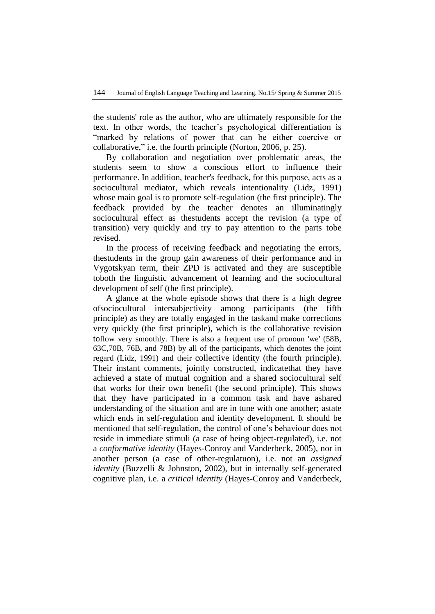the students' role as the author, who are ultimately responsible for the text. In other words, the teacher's psychological differentiation is "marked by relations of power that can be either coercive or collaborative," i.e. the fourth principle (Norton, 2006, p. 25).

By collaboration and negotiation over problematic areas, the students seem to show a conscious effort to influence their performance. In addition, teacher's feedback, for this purpose, acts as a sociocultural mediator, which reveals intentionality (Lidz, 1991) whose main goal is to promote self-regulation (the first principle). The feedback provided by the teacher denotes an illuminatingly sociocultural effect as thestudents accept the revision (a type of transition) very quickly and try to pay attention to the parts tobe revised.

In the process of receiving feedback and negotiating the errors, thestudents in the group gain awareness of their performance and in Vygotskyan term, their ZPD is activated and they are susceptible toboth the linguistic advancement of learning and the sociocultural development of self (the first principle).

A glance at the whole episode shows that there is a high degree ofsociocultural intersubjectivity among participants (the fifth principle) as they are totally engaged in the taskand make corrections very quickly (the first principle), which is the collaborative revision toflow very smoothly. There is also a frequent use of pronoun 'we' (58B, 63C,70B, 76B, and 78B) by all of the participants, which denotes the joint regard (Lidz, 1991) and their collective identity (the fourth principle). Their instant comments, jointly constructed, indicatethat they have achieved a state of mutual cognition and a shared sociocultural self that works for their own benefit (the second principle). This shows that they have participated in a common task and have ashared understanding of the situation and are in tune with one another; astate which ends in self-regulation and identity development. It should be mentioned that self-regulation, the control of one's behaviour does not reside in immediate stimuli (a case of being object-regulated), i.e. not a *conformative identity* (Hayes-Conroy and Vanderbeck, 2005), nor in another person (a case of other-regulatuon), i.e. not an *assigned identity* (Buzzelli & Johnston, 2002), but in internally self-generated cognitive plan, i.e. a *critical identity* (Hayes-Conroy and Vanderbeck,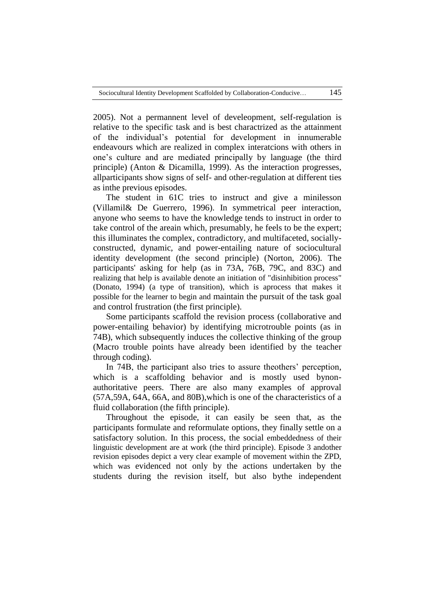2005). Not a permannent level of develeopment, self-regulation is relative to the specific task and is best charactrized as the attainment of the individual's potential for development in innumerable endeavours which are realized in complex interatcions with others in one's culture and are mediated principally by language (the third principle) (Anton & Dicamilla, 1999). As the interaction progresses, allparticipants show signs of self- and other-regulation at different ties as inthe previous episodes.

The student in 61C tries to instruct and give a minilesson (Villamil& De Guerrero, 1996). In symmetrical peer interaction, anyone who seems to have the knowledge tends to instruct in order to take control of the areain which, presumably, he feels to be the expert; this illuminates the complex, contradictory, and multifaceted, sociallyconstructed, dynamic, and power-entailing nature of sociocultural identity development (the second principle) (Norton, 2006). The participants' asking for help (as in 73A, 76B, 79C, and 83C) and realizing that help is available denote an initiation of "disinhibition process" (Donato, 1994) (a type of transition), which is aprocess that makes it possible for the learner to begin and maintain the pursuit of the task goal and control frustration (the first principle).

Some participants scaffold the revision process (collaborative and power-entailing behavior) by identifying microtrouble points (as in 74B), which subsequently induces the collective thinking of the group (Macro trouble points have already been identified by the teacher through coding).

In 74B, the participant also tries to assure theothers' perception, which is a scaffolding behavior and is mostly used bynonauthoritative peers. There are also many examples of approval (57A,59A, 64A, 66A, and 80B),which is one of the characteristics of a fluid collaboration (the fifth principle).

Throughout the episode, it can easily be seen that, as the participants formulate and reformulate options, they finally settle on a satisfactory solution. In this process, the social embeddedness of their linguistic development are at work (the third principle). Episode 3 andother revision episodes depict a very clear example of movement within the ZPD, which was evidenced not only by the actions undertaken by the students during the revision itself, but also bythe independent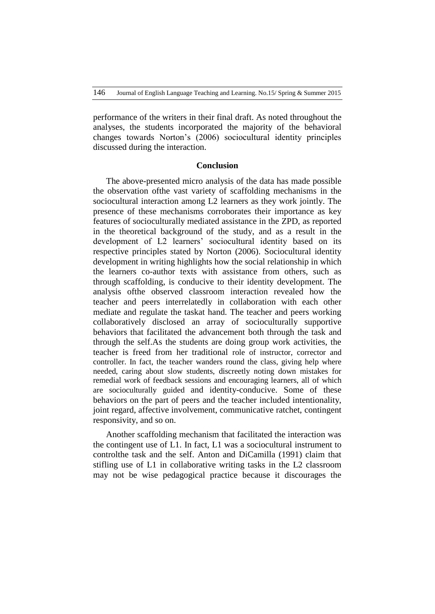performance of the writers in their final draft. As noted throughout the analyses, the students incorporated the majority of the behavioral changes towards Norton's (2006) sociocultural identity principles discussed during the interaction.

#### **Conclusion**

The above-presented micro analysis of the data has made possible the observation ofthe vast variety of scaffolding mechanisms in the sociocultural interaction among L2 learners as they work jointly. The presence of these mechanisms corroborates their importance as key features of socioculturally mediated assistance in the ZPD, as reported in the theoretical background of the study, and as a result in the development of L2 learners' sociocultural identity based on its respective principles stated by Norton (2006). Sociocultural identity development in writing highlights how the social relationship in which the learners co-author texts with assistance from others, such as through scaffolding, is conducive to their identity development. The analysis ofthe observed classroom interaction revealed how the teacher and peers interrelatedly in collaboration with each other mediate and regulate the taskat hand. The teacher and peers working collaboratively disclosed an array of socioculturally supportive behaviors that facilitated the advancement both through the task and through the self.As the students are doing group work activities, the teacher is freed from her traditional role of instructor, corrector and controller. In fact, the teacher wanders round the class, giving help where needed, caring about slow students, discreetly noting down mistakes for remedial work of feedback sessions and encouraging learners, all of which are socioculturally guided and identity-conducive. Some of these behaviors on the part of peers and the teacher included intentionality, joint regard, affective involvement, communicative ratchet, contingent responsivity, and so on.

Another scaffolding mechanism that facilitated the interaction was the contingent use of L1. In fact, L1 was a sociocultural instrument to controlthe task and the self. Anton and DiCamilla (1991) claim that stifling use of L1 in collaborative writing tasks in the L2 classroom may not be wise pedagogical practice because it discourages the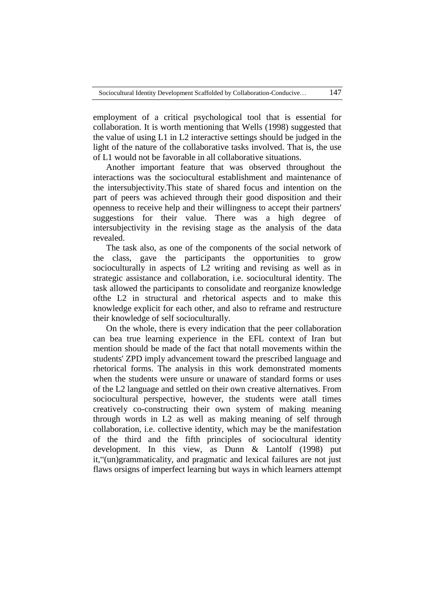employment of a critical psychological tool that is essential for collaboration. It is worth mentioning that Wells (1998) suggested that the value of using L1 in L2 interactive settings should be judged in the light of the nature of the collaborative tasks involved. That is, the use of L1 would not be favorable in all collaborative situations.

Another important feature that was observed throughout the interactions was the sociocultural establishment and maintenance of the intersubjectivity.This state of shared focus and intention on the part of peers was achieved through their good disposition and their openness to receive help and their willingness to accept their partners' suggestions for their value. There was a high degree of intersubjectivity in the revising stage as the analysis of the data revealed.

The task also, as one of the components of the social network of the class, gave the participants the opportunities to grow socioculturally in aspects of L2 writing and revising as well as in strategic assistance and collaboration, i.e. sociocultural identity. The task allowed the participants to consolidate and reorganize knowledge ofthe L2 in structural and rhetorical aspects and to make this knowledge explicit for each other, and also to reframe and restructure their knowledge of self socioculturally.

On the whole, there is every indication that the peer collaboration can bea true learning experience in the EFL context of Iran but mention should be made of the fact that notall movements within the students' ZPD imply advancement toward the prescribed language and rhetorical forms. The analysis in this work demonstrated moments when the students were unsure or unaware of standard forms or uses of the L2 language and settled on their own creative alternatives. From sociocultural perspective, however, the students were atall times creatively co-constructing their own system of making meaning through words in L2 as well as making meaning of self through collaboration, i.e. collective identity, which may be the manifestation of the third and the fifth principles of sociocultural identity development. In this view, as Dunn & Lantolf (1998) put it, "(un)grammaticality, and pragmatic and lexical failures are not just flaws orsigns of imperfect learning but ways in which learners attempt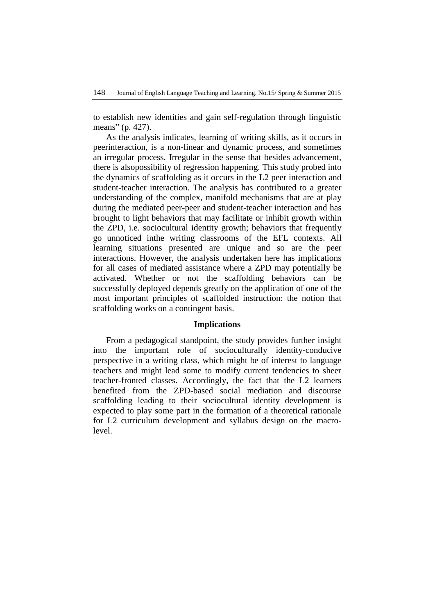to establish new identities and gain self-regulation through linguistic means" (p. 427).

As the analysis indicates, learning of writing skills, as it occurs in peerinteraction, is a non-linear and dynamic process, and sometimes an irregular process. Irregular in the sense that besides advancement, there is alsopossibility of regression happening. This study probed into the dynamics of scaffolding as it occurs in the L2 peer interaction and student-teacher interaction. The analysis has contributed to a greater understanding of the complex, manifold mechanisms that are at play during the mediated peer-peer and student-teacher interaction and has brought to light behaviors that may facilitate or inhibit growth within the ZPD, i.e. sociocultural identity growth; behaviors that frequently go unnoticed inthe writing classrooms of the EFL contexts. All learning situations presented are unique and so are the peer interactions. However, the analysis undertaken here has implications for all cases of mediated assistance where a ZPD may potentially be activated. Whether or not the scaffolding behaviors can be successfully deployed depends greatly on the application of one of the most important principles of scaffolded instruction: the notion that scaffolding works on a contingent basis.

#### **Implications**

From a pedagogical standpoint, the study provides further insight into the important role of socioculturally identity-conducive perspective in a writing class, which might be of interest to language teachers and might lead some to modify current tendencies to sheer teacher-fronted classes. Accordingly, the fact that the L2 learners benefited from the ZPD-based social mediation and discourse scaffolding leading to their sociocultural identity development is expected to play some part in the formation of a theoretical rationale for L2 curriculum development and syllabus design on the macrolevel.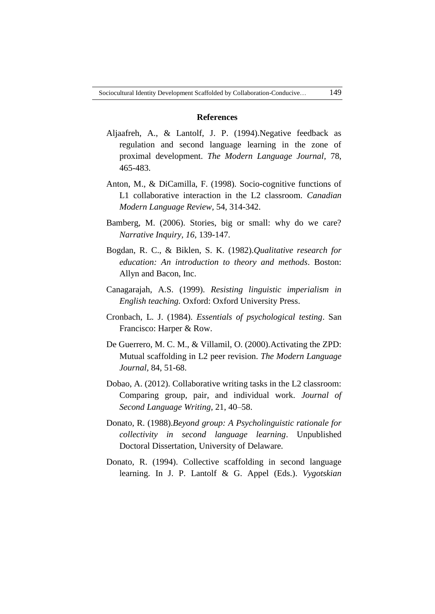## **References**

- Aljaafreh, A., & Lantolf, J. P. (1994).Negative feedback as regulation and second language learning in the zone of proximal development. *The Modern Language Journal,* 78, 465-483.
- Anton, M., & DiCamilla, F. (1998). Socio-cognitive functions of L1 collaborative interaction in the L2 classroom. *Canadian Modern Language Review,* 54, 314-342.
- Bamberg, M. (2006). Stories, big or small: why do we care? *Narrative Inquiry, 16*, 139-147.
- Bogdan, R. C., & Biklen, S. K. (1982).*Qualitative research for education: An introduction to theory and methods*. Boston: Allyn and Bacon, Inc.
- Canagarajah, A.S. (1999). *Resisting linguistic imperialism in English teaching.* Oxford: Oxford University Press.
- Cronbach, L. J. (1984). *Essentials of psychological testing*. San Francisco: Harper & Row.
- De Guerrero, M. C. M., & Villamil, O. (2000).Activating the ZPD: Mutual scaffolding in L2 peer revision. *The Modern Language Journal,* 84, 51-68.
- Dobao, A. (2012). Collaborative writing tasks in the L2 classroom: Comparing group, pair, and individual work. *Journal of Second Language Writing,* 21, 40–58.
- Donato, R. (1988).*Beyond group: A Psycholinguistic rationale for collectivity in second language learning*. Unpublished Doctoral Dissertation, University of Delaware.
- Donato, R. (1994). Collective scaffolding in second language learning. In J. P. Lantolf & G. Appel (Eds.). *Vygotskian*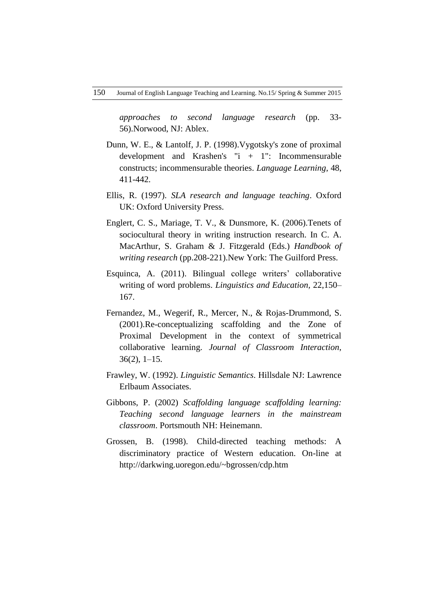*approaches to second language research* (pp. 33- 56).Norwood, NJ: Ablex.

- Dunn, W. E., & Lantolf, J. P. (1998).Vygotsky's zone of proximal development and Krashen's "i + 1": Incommensurable constructs; incommensurable theories. *Language Learning,* 48, 411-442.
- Ellis, R. (1997). *SLA research and language teaching*. Oxford UK: Oxford University Press.
- Englert, C. S., Mariage, T. V., & Dunsmore, K. (2006).Tenets of sociocultural theory in writing instruction research. In C. A. MacArthur, S. Graham & J. Fitzgerald (Eds.) *Handbook of writing research* (pp.208-221).New York: The Guilford Press.
- Esquinca, A. (2011). Bilingual college writers' collaborative writing of word problems. *Linguistics and Education,* 22,150– 167.
- Fernandez, M., Wegerif, R., Mercer, N., & Rojas-Drummond, S. (2001).Re-conceptualizing scaffolding and the Zone of Proximal Development in the context of symmetrical collaborative learning. *Journal of Classroom Interaction,*  $36(2)$ , 1–15.
- Frawley, W. (1992). *Linguistic Semantics*. Hillsdale NJ: Lawrence Erlbaum Associates.
- Gibbons, P. (2002) *Scaffolding language scaffolding learning: Teaching second language learners in the mainstream classroom*. Portsmouth NH: Heinemann.
- Grossen, B. (1998). Child-directed teaching methods: A discriminatory practice of Western education. On-line at http://darkwing.uoregon.edu/~bgrossen/cdp.htm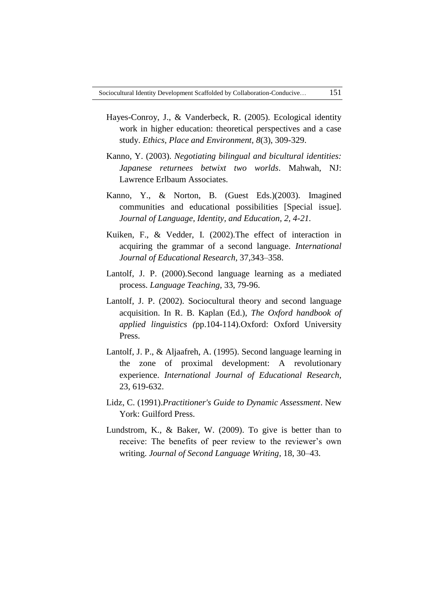- Hayes-Conroy, J., & Vanderbeck, R. (2005). Ecological identity work in higher education: theoretical perspectives and a case study. *Ethics, Place and Environment, 8*(3), 309-329.
- Kanno, Y. (2003). *Negotiating bilingual and bicultural identities: Japanese returnees betwixt two worlds*. Mahwah, NJ: Lawrence Erlbaum Associates.
- Kanno, Y., & Norton, B. (Guest Eds.)(2003). Imagined communities and educational possibilities [Special issue]. *Journal of Language, Identity, and Education, 2, 4-21.*
- Kuiken, F., & Vedder, I. (2002).The effect of interaction in acquiring the grammar of a second language. *International Journal of Educational Research,* 37,343–358.
- Lantolf, J. P. (2000).Second language learning as a mediated process. *Language Teaching,* 33, 79-96.
- Lantolf, J. P. (2002). Sociocultural theory and second language acquisition. In R. B. Kaplan (Ed.), *The Oxford handbook of applied linguistics (*pp.104-114).Oxford: Oxford University Press.
- Lantolf, J. P., & Aljaafreh, A. (1995). Second language learning in the zone of proximal development: A revolutionary experience. *International Journal of Educational Research,* 23, 619-632.
- Lidz, C. (1991).*Practitioner's Guide to Dynamic Assessment*. New York: Guilford Press.
- Lundstrom, K., & Baker, W. (2009). To give is better than to receive: The benefits of peer review to the reviewer's own writing. *Journal of Second Language Writing,* 18, 30–43.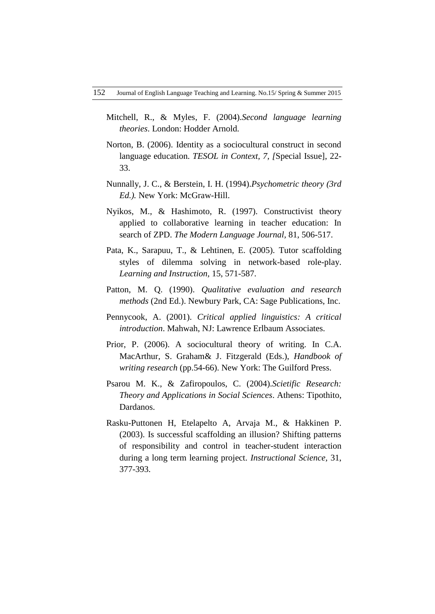- Mitchell, R., & Myles, F. (2004).*Second language learning theories*. London: Hodder Arnold.
- Norton, B. (2006). Identity as a sociocultural construct in second language education. *TESOL in Context, 7, [*Special Issue], 22- 33.
- Nunnally, J. C., & Berstein, I. H. (1994).*Psychometric theory (3rd Ed.).* New York: McGraw-Hill.
- Nyikos, M., & Hashimoto, R. (1997). Constructivist theory applied to collaborative learning in teacher education: In search of ZPD. *The Modern Language Journal,* 81, 506-517.
- Pata, K., Sarapuu, T., & Lehtinen, E. (2005). Tutor scaffolding styles of dilemma solving in network-based role-play. *Learning and Instruction,* 15, 571-587.
- Patton, M. Q. (1990). *Qualitative evaluation and research methods* (2nd Ed.). Newbury Park, CA: Sage Publications, Inc.
- Pennycook, A. (2001). *Critical applied linguistics: A critical introduction*. Mahwah, NJ: Lawrence Erlbaum Associates.
- Prior, P. (2006). A sociocultural theory of writing. In C.A. MacArthur, S. Graham& J. Fitzgerald (Eds.), *Handbook of writing research* (pp.54-66). New York: The Guilford Press.
- Psarou M. K., & Zafiropoulos, C. (2004).*Scietific Research: Theory and Applications in Social Sciences*. Athens: Tipothito, Dardanos.
- Rasku-Puttonen H, Etelapelto A, Arvaja M., & Hakkinen P. (2003). Is successful scaffolding an illusion? Shifting patterns of responsibility and control in teacher-student interaction during a long term learning project. *Instructional Science,* 31, 377-393.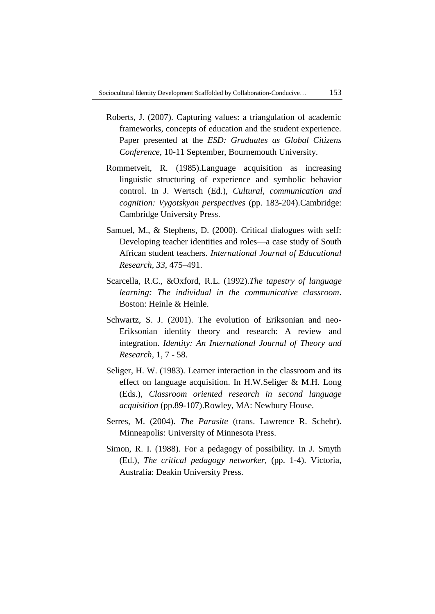- Roberts, J. (2007). Capturing values: a triangulation of academic frameworks, concepts of education and the student experience. Paper presented at the *ESD: Graduates as Global Citizens Conference*, 10-11 September, Bournemouth University.
- Rommetveit, R. (1985).Language acquisition as increasing linguistic structuring of experience and symbolic behavior control. In J. Wertsch (Ed.), *Cultural, communication and cognition: Vygotskyan perspectives* (pp. 183-204).Cambridge: Cambridge University Press.
- Samuel, M., & Stephens, D. (2000). Critical dialogues with self: Developing teacher identities and roles—a case study of South African student teachers. *International Journal of Educational Research, 33*, 475–491.
- Scarcella, R.C., &Oxford, R.L. (1992).*The tapestry of language learning: The individual in the communicative classroom*. Boston: Heinle & Heinle.
- Schwartz, S. J. (2001). The evolution of Eriksonian and neo-Eriksonian identity theory and research: A review and integration. *Identity: An International Journal of Theory and Research,* 1, 7 - 58.
- Seliger, H. W. (1983). Learner interaction in the classroom and its effect on language acquisition. In H.W.Seliger & M.H. Long (Eds.), *Classroom oriented research in second language acquisition* (pp.89-107).Rowley, MA: Newbury House.
- Serres, M. (2004). *The Parasite* (trans. Lawrence R. Schehr). Minneapolis: University of Minnesota Press.
- Simon, R. I. (1988). For a pedagogy of possibility. In J. Smyth (Ed.), *The critical pedagogy networker,* (pp. 1-4). Victoria, Australia: Deakin University Press.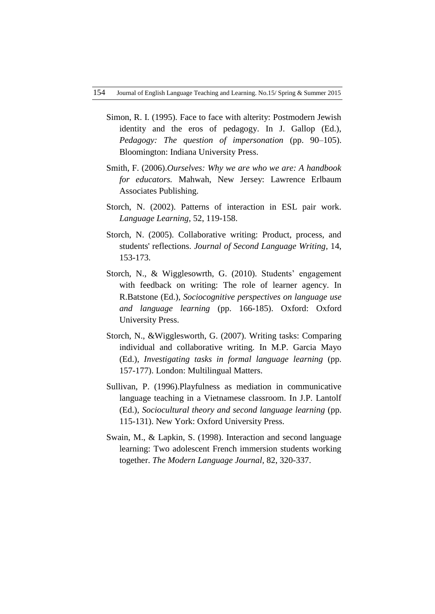- Simon, R. I. (1995). Face to face with alterity: Postmodern Jewish identity and the eros of pedagogy. In J. Gallop (Ed.), *Pedagogy: The question of impersonation* (pp. 90–105). Bloomington: Indiana University Press.
- Smith, F. (2006).*Ourselves: Why we are who we are: A handbook for educators.* Mahwah, New Jersey: Lawrence Erlbaum Associates Publishing.
- Storch, N. (2002). Patterns of interaction in ESL pair work. *Language Learning,* 52, 119-158.
- Storch, N. (2005). Collaborative writing: Product, process, and students' reflections. *Journal of Second Language Writing,* 14, 153-173.
- Storch, N., & Wigglesowrth, G. (2010). Students' engagement with feedback on writing: The role of learner agency. In R.Batstone (Ed.), *Sociocognitive perspectives on language use and language learning* (pp. 166-185). Oxford: Oxford University Press.
- Storch, N., &Wigglesworth, G. (2007). Writing tasks: Comparing individual and collaborative writing. In M.P. Garcia Mayo (Ed.), *Investigating tasks in formal language learning* (pp. 157-177). London: Multilingual Matters.
- Sullivan, P. (1996).Playfulness as mediation in communicative language teaching in a Vietnamese classroom. In J.P. Lantolf (Ed.), *Sociocultural theory and second language learning* (pp. 115-131). New York: Oxford University Press.
- Swain, M., & Lapkin, S. (1998). Interaction and second language learning: Two adolescent French immersion students working together. *The Modern Language Journal,* 82, 320-337.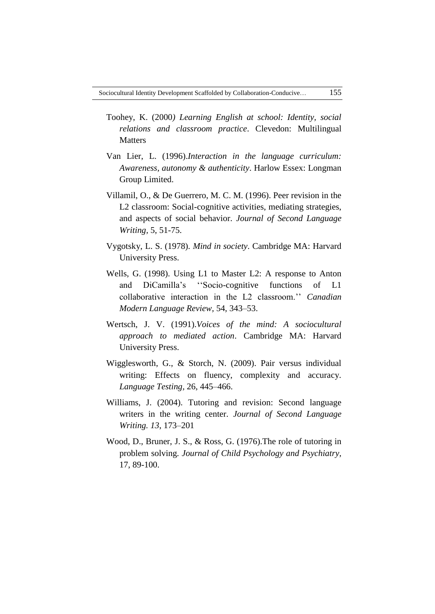- Toohey, K. (2000*) Learning English at school: Identity, social relations and classroom practice*. Clevedon: Multilingual **Matters**
- Van Lier, L. (1996).*Interaction in the language curriculum: Awareness, autonomy & authenticity*. Harlow Essex: Longman Group Limited.
- Villamil, O., & De Guerrero, M. C. M. (1996). Peer revision in the L2 classroom: Social-cognitive activities, mediating strategies, and aspects of social behavior. *Journal of Second Language Writing,* 5, 51-75.
- Vygotsky, L. S. (1978). *Mind in society*. Cambridge MA: Harvard University Press.
- Wells, G. (1998). Using L1 to Master L2: A response to Anton and DiCamilla's "Socio-cognitive functions of L1 collaborative interaction in the L2 classroom.'' *Canadian Modern Language Review,* 54, 343–53.
- Wertsch, J. V. (1991).*Voices of the mind: A sociocultural approach to mediated action*. Cambridge MA: Harvard University Press.
- Wigglesworth, G., & Storch, N. (2009). Pair versus individual writing: Effects on fluency, complexity and accuracy. *Language Testing,* 26, 445–466.
- Williams, J. (2004). Tutoring and revision: Second language writers in the writing center. *Journal of Second Language Writing. 13*, 173–201
- Wood, D., Bruner, J. S., & Ross, G. (1976).The role of tutoring in problem solving. *Journal of Child Psychology and Psychiatry,* 17, 89-100.